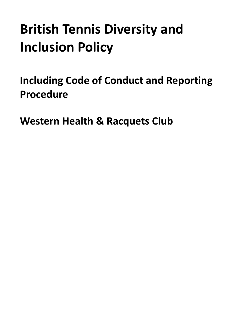# **British Tennis Diversity and Inclusion Policy**

**Including Code of Conduct and Reporting Procedure**

**Western Health & Racquets Club**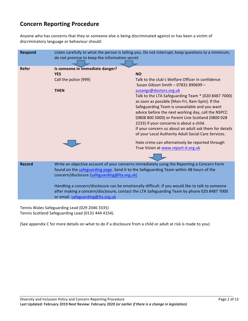# **Concern Reporting Procedure**

Anyone who has concerns that they or someone else is being discriminated against or has been a victim of discriminatory language or behaviour should:

| <b>Respond</b> | Listen carefully to what the person is telling you. Do not interrupt; keep questions to a minimum;<br>do not promise to keep the information secret                                                                                                                                                                                                                                                                                                                          |                                                                                                                                                                                                                                                                                                                                                                                                                                                                                                                                                                                                                                                             |
|----------------|------------------------------------------------------------------------------------------------------------------------------------------------------------------------------------------------------------------------------------------------------------------------------------------------------------------------------------------------------------------------------------------------------------------------------------------------------------------------------|-------------------------------------------------------------------------------------------------------------------------------------------------------------------------------------------------------------------------------------------------------------------------------------------------------------------------------------------------------------------------------------------------------------------------------------------------------------------------------------------------------------------------------------------------------------------------------------------------------------------------------------------------------------|
| <b>Refer</b>   | Is someone in immediate danger?<br><b>YES</b><br>Call the police (999)<br><b>THEN</b>                                                                                                                                                                                                                                                                                                                                                                                        | <b>NO</b><br>Talk to the club's Welfare Officer in confidence<br>Susan Gibson Smith - 07831 890699 -<br>susangs@doctors.org.uk<br>Talk to the LTA Safeguarding Team * (020 8487 7000)<br>as soon as possible [Mon-Fri, 9am-5pm]. If the<br>Safeguarding Team is unavailable and you want<br>advice before the next working day, call the NSPCC<br>(0808 800 5000) or Parent Line Scotland (0800 028<br>2233) if your concerns is about a child.<br>If your concern us about an adult ask them for details<br>of your Local Authority Adult Social Care Services.<br>Hate crime can alternatively be reported through<br>True Vision at www.report-it.org.uk |
| <b>Record</b>  | Write an objective account of your concerns immediately using the Reporting a Concern Form<br>found on the safeguarding page. Send it to the Safeguarding Team within 48 hours of the<br>concern/disclosure (safeguarding@Ita.org.uk)<br>Handling a concern/disclosure can be emotionally difficult. If you would like to talk to someone<br>after making a concern/disclosure, contact the LTA Safeguarding Team by phone 020 8487 7000<br>or email safeguarding@Ita.org.uk |                                                                                                                                                                                                                                                                                                                                                                                                                                                                                                                                                                                                                                                             |

Tennis Wales Safeguarding Lead (029 2046 3335) Tennis Scotland Safeguarding Lead (0131 444 4154).

(See appendix C for more details on what to do if a disclosure from a child or adult at risk is made to you)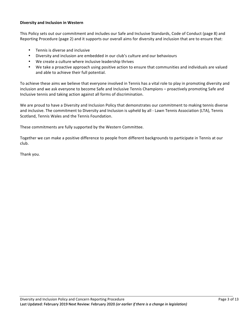#### **Diversity and Inclusion in Western**

This Policy sets out our commitment and includes our Safe and Inclusive Standards, Code of Conduct (page 8) and Reporting Procedure (page 2) and it supports our overall aims for diversity and inclusion that are to ensure that:

- Tennis is diverse and inclusive
- Diversity and inclusion are embedded in our club's culture and our behaviours
- We create a culture where inclusive leadership thrives
- We take a proactive approach using positive action to ensure that communities and individuals are valued and able to achieve their full potential.

To achieve these aims we believe that everyone involved in Tennis has a vital role to play in promoting diversity and inclusion and we ask everyone to become Safe and Inclusive Tennis Champions – proactively promoting Safe and Inclusive tennis and taking action against all forms of discrimination.

We are proud to have a Diversity and Inclusion Policy that demonstrates our commitment to making tennis diverse and inclusive. The commitment to Diversity and Inclusion is upheld by all - Lawn Tennis Association (LTA), Tennis Scotland, Tennis Wales and the Tennis Foundation.

These commitments are fully supported by the Western Committee.

Together we can make a positive difference to people from different backgrounds to participate in Tennis at our club.

Thank you.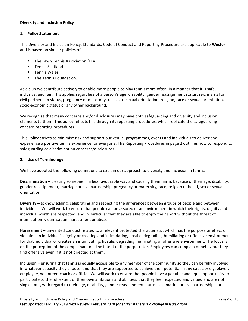# **Diversity and Inclusion Policy**

# 1. **Policy Statement**

This Diversity and Inclusion Policy, Standards, Code of Conduct and Reporting Procedure are applicable to Western and is based on similar policies of:

- The Lawn Tennis Association (LTA)
- Tennis Scotland
- Tennis Wales
- The Tennis Foundation.

As a club we contribute actively to enable more people to play tennis more often, in a manner that it is safe, inclusive, and fair. This applies regardless of a person's age, disability, gender reassignment status, sex, marital or civil partnership status, pregnancy or maternity, race, sex, sexual orientation, religion, race or sexual orientation, socio-economic status or any other background.

We recognise that many concerns and/or disclosures may have both safeguarding and diversity and inclusion elements to them. This policy reflects this through its reporting procedures, which replicate the safeguarding concern reporting procedures.

This Policy strives to minimise risk and support our venue, programmes, events and individuals to deliver and experience a positive tennis experience for everyone. The Reporting Procedures in page 2 outlines how to respond to safeguarding or discrimination concerns/disclosures.

# **2. Use of Terminology**

We have adopted the following definitions to explain our approach to diversity and inclusion in tennis:

**Discrimination** – treating someone in a less favourable way and causing them harm, because of their age, disability, gender reassignment, marriage or civil partnership, pregnancy or maternity, race, religion or belief, sex or sexual orientation

**Diversity** – acknowledging, celebrating and respecting the differences between groups of people and between individuals. We will work to ensure that people can be assured of an environment in which their rights, dignity and individual worth are respected, and in particular that they are able to enjoy their sport without the threat of intimidation, victimisation, harassment or abuse.

**Harassment** – unwanted conduct related to a relevant protected characteristic, which has the purpose or effect of violating an individual's dignity or creating and intimidating, hostile, degrading, humiliating or offensive environment for that individual or creates an intimidating, hostile, degrading, humiliating or offensive environment. The focus is on the perception of the complainant not the intent of the perpetrator. Employees can complain of behaviour they find offensive even if it is not directed at them.

**Inclusion** – ensuring that tennis is equally accessible to any member of the community so they can be fully involved in whatever capacity they choose; and that they are supported to achieve their potential in any capacity e.g. player, employee, volunteer, coach or official. We will work to ensure that people have a genuine and equal opportunity to participate to the full extent of their own ambitions and abilities, that they feel respected and valued and are not singled out, with regard to their age, disability, gender reassignment status, sex, marital or civil partnership status,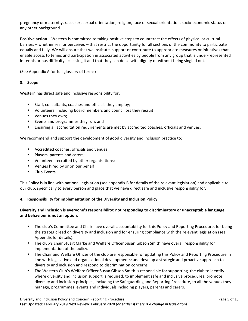pregnancy or maternity, race, sex, sexual orientation, religion, race or sexual orientation, socio-economic status or any other background.

**Positive action** – Western is committed to taking positive steps to counteract the effects of physical or cultural barriers – whether real or perceived – that restrict the opportunity for all sections of the community to participate equally and fully. We will ensure that we institute, support or contribute to appropriate measures or initiatives that enable access to tennis and participation in associated activities by people from any group that is under-represented in tennis or has difficulty accessing it and that they can do so with dignity or without being singled out.

(See Appendix A for full glossary of terms)

# **3. Scope**

Western has direct safe and inclusive responsibility for:

- Staff, consultants, coaches and officials they employ;
- Volunteers, including board members and councillors they recruit;
- Venues they own;
- Events and programmes they run; and
- Ensuring all accreditation requirements are met by accredited coaches, officials and venues.

We recommend and support the development of good diversity and inclusion practice to:

- Accredited coaches, officials and venues;
- Players, parents and carers;
- Volunteers recruited by other organisations;
- Venues hired by or on our behalf
- Club Events.

This Policy is in line with national legislation (see appendix B for details of the relevant legislation) and applicable to our club, specifically to every person and place that we have direct safe and inclusive responsibility for.

#### **4.** Responsibility for implementation of the Diversity and Inclusion Policy

# Diversity and inclusion is everyone's responsibility: not responding to discriminatory or unacceptable language and behaviour is not an option.

- The club's Committee and Chair have overall accountability for this Policy and Reporting Procedure, for being the strategic lead on diversity and inclusion and for ensuring compliance with the relevant legislation (see Appendix for details).
- The club's chair Stuart Clarke and Welfare Officer Susan Gibson Smith have overall responsibility for implementation of the policy.
- The Chair and Welfare Officer of the club are responsible for updating this Policy and Reporting Procedure in line with legislative and organisational developments; and develop a strategic and proactive approach to diversity and inclusion and respond to discrimination concerns.
- The Western Club's Welfare Officer Susan Gibson Smith is responsible for supporting the club to identify where diversity and inclusion support is required; to implement safe and inclusive procedures; promote diversity and inclusion principles, including the Safeguarding and Reporting Procedure, to all the venues they manage, programmes, events and individuals including players, parents and carers.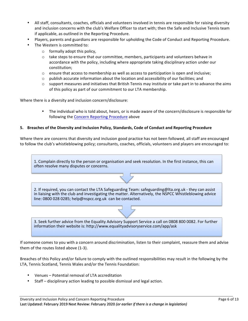- All staff, consultants, coaches, officials and volunteers involved in tennis are responsible for raising diversity and inclusion concerns with the club's Welfare Officer to start with; then the Safe and Inclusive Tennis team if applicable, as outlined in the Reporting Procedure.
- Players, parents and guardians are responsible for upholding the Code of Conduct and Reporting Procedure.
- The Western is committed to:
	- $\circ$  formally adopt this policy,
	- $\circ$  take steps to ensure that our committee, members, participants and volunteers behave in accordance with the policy, including where appropriate taking disciplinary action under our constitution;
	- $\circ$  ensure that access to membership as well as access to participation is open and inclusive;
	- $\circ$  publish accurate information about the location and accessibility of our facilities; and
	- $\circ$  support measures and initiatives that British Tennis may institute or take part in to advance the aims of this policy as part of our commitment to our LTA membership.

Where there is a diversity and inclusion concern/disclosure:

The individual who is told about, hears, or is made aware of the concern/disclosure is responsible for following the Concern Reporting Procedure above

#### **5. Breaches of the Diversity and Inclusion Policy, Standards, Code of Conduct and Reporting Procedure**

Where there are concerns that diversity and inclusion good practice has not been followed, all staff are encouraged to follow the club's whistleblowing policy; consultants, coaches, officials, volunteers and players are encouraged to:

1. Complain directly to the person or organisation and seek resolution. In the first instance, this can often resolve many disputes or concerns.

2. If required, you can contact the LTA Safeguarding Team: safeguarding@lta.org.uk - they can assist in liaising with the club and investigating the matter. Alternatively, the NSPCC Whistleblowing advice line: 0800 028 0285; help@nspcc.org.uk can be contacted.

3. Seek further advice from the Equality Advisory Support Service a call on 0808 800 0082. For further information their website is: http://www.equalityadvisoryservice.com/app/ask

If someone comes to you with a concern around discrimination, listen to their complaint, reassure them and advise them of the routes listed above (1-3).

Breaches of this Policy and/or failure to comply with the outlined responsibilities may result in the following by the LTA, Tennis Scotland, Tennis Wales and/or the Tennis Foundation:

- Venues Potential removal of LTA accreditation
- Staff disciplinary action leading to possible dismissal and legal action.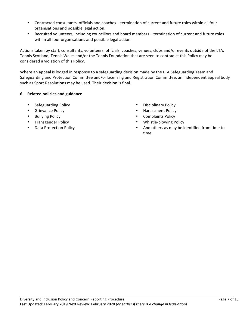- Contracted consultants, officials and coaches termination of current and future roles within all four organisations and possible legal action.
- Recruited volunteers, including councillors and board members termination of current and future roles within all four organisations and possible legal action.

Actions taken by staff, consultants, volunteers, officials, coaches, venues, clubs and/or events outside of the LTA, Tennis Scotland, Tennis Wales and/or the Tennis Foundation that are seen to contradict this Policy may be considered a violation of this Policy.

Where an appeal is lodged in response to a safeguarding decision made by the LTA Safeguarding Team and Safeguarding and Protection Committee and/or Licensing and Registration Committee, an independent appeal body such as Sport Resolutions may be used. Their decision is final.

# **6. Related policies and guidance**

- Safeguarding Policy  **Disciplinary Policy**
- 
- 
- 
- 
- 
- Grievance Policy  **Harassment Policy** Harassment Policy
- Bullying Policy  **Complaints Policy Complaints Policy**
- Transgender Policy  **Whistle-blowing Policy**
- Data Protection Policy **because that the COV** and others as may be identified from time to time.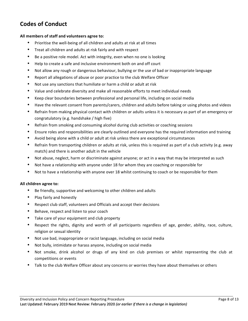# **Codes of Conduct**

## All members of staff and volunteers agree to:

- Prioritise the well-being of all children and adults at risk at all times
- Treat all children and adults at risk fairly and with respect
- Be a positive role model. Act with integrity, even when no one is looking
- Help to create a safe and inclusive environment both on and off court
- Not allow any rough or dangerous behaviour, bullying or the use of bad or inappropriate language
- Report all allegations of abuse or poor practice to the club Welfare Officer
- Not use any sanctions that humiliate or harm a child or adult at risk
- Value and celebrate diversity and make all reasonable efforts to meet individual needs
- Keep clear boundaries between professional and personal life, including on social media
- Have the relevant consent from parents/carers, children and adults before taking or using photos and videos
- Refrain from making physical contact with children or adults unless it is necessary as part of an emergency or congratulatory (e.g. handshake / high five)
- Refrain from smoking and consuming alcohol during club activities or coaching sessions
- Ensure roles and responsibilities are clearly outlined and everyone has the required information and training
- Avoid being alone with a child or adult at risk unless there are exceptional circumstances
- Refrain from transporting children or adults at risk, unless this is required as part of a club activity (e.g. away match) and there is another adult in the vehicle
- Not abuse, neglect, harm or discriminate against anyone; or act in a way that may be interpreted as such
- Not have a relationship with anyone under 18 for whom they are coaching or responsible for
- Not to have a relationship with anyone over 18 whilst continuing to coach or be responsible for them

#### All children agree to:

- Be friendly, supportive and welcoming to other children and adults
- Play fairly and honestly
- Respect club staff, volunteers and Officials and accept their decisions
- Behave, respect and listen to your coach
- Take care of your equipment and club property
- Respect the rights, dignity and worth of all participants regardless of age, gender, ability, race, culture, religion or sexual identity
- Not use bad, inappropriate or racist language, including on social media
- Not bully, intimidate or harass anyone, including on social media
- Not smoke, drink alcohol or drugs of any kind on club premises or whilst representing the club at competitions or events
- Talk to the club Welfare Officer about any concerns or worries they have about themselves or others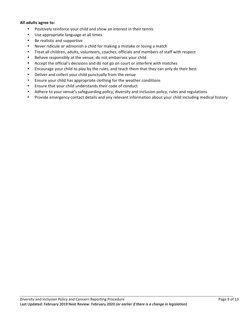#### **All adults agree to:**

- Positively reinforce your child and show an interest in their tennis
- Use appropriate language at all times
- Be realistic and supportive
- Never ridicule or admonish a child for making a mistake or losing a match
- Treat all children, adults, volunteers, coaches, officials and members of staff with respect
- Behave responsibly at the venue; do not embarrass your child
- Accept the official's decisions and do not go on court or interfere with matches
- Encourage your child to play by the rules, and teach them that they can only do their best
- Deliver and collect your child punctually from the venue
- Ensure your child has appropriate clothing for the weather conditions
- Ensure that your child understands their code of conduct
- Adhere to your venue's safeguarding policy, diversity and inclusion policy, rules and regulations
- Provide emergency contact details and any relevant information about your child including medical history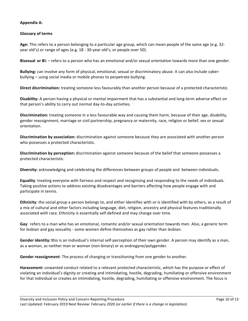# **Appendix A:**

# **Glossary of terms**

Age: This refers to a person belonging to a particular age group, which can mean people of the same age (e.g. 32year old's) or range of ages (e.g. 18 - 30-year old's, or people over 50).

**Bisexual or Bi:** – refers to a person who has an emotional and/or sexual orientation towards more than one gender.

**Bullying:** can involve any form of physical, emotional, sexual or discriminatory abuse. It can also include cyberbullying – using social media or mobile phones to perpetrate bullying.

**Direct discrimination:** treating someone less favourably than another person because of a protected characteristic.

**Disability:** A person having a physical or mental impairment that has a substantial and long-term adverse effect on that person's ability to carry out normal day-to-day activities.

**Discrimination:** treating someone in a less favourable way and causing them harm, because of their age, disability, gender reassignment, marriage or civil partnership, pregnancy or maternity, race, religion or belief, sex or sexual orientation.

**Discrimination by association:** discrimination against someone because they are associated with another person who possesses a protected characteristic.

**Discrimination by perception:** discrimination against someone because of the belief that someone possesses a protected characteristic.

**Diversity:** acknowledging and celebrating the differences between groups of people and between individuals.

**Equality**: treating everyone with fairness and respect and recognising and responding to the needs of individuals. Taking positive actions to address existing disadvantages and barriers affecting how people engage with and participate in tennis.

**Ethnicity**: the social group a person belongs to, and either identifies with or is identified with by others, as a result of a mix of cultural and other factors including language, diet, religion, ancestry and physical features traditionally associated with race. Ethnicity is essentially self-defined and may change over time.

**Gay**: refers to a man who has an emotional, romantic and/or sexual orientation towards men. Also, a generic term for lesbian and gay sexuality - some women define themselves as gay rather than lesbian.

Gender identity: this is an individual's internal self-perception of their own gender. A person may identify as a man, as a woman, as neither man or woman (non-binary) or as androgyne/polygender.

**Gender reassignment**: The process of changing or transitioning from one gender to another.

Harassment: unwanted conduct related to a relevant protected characteristic, which has the purpose or effect of violating an individual's dignity or creating and intimidating, hostile, degrading, humiliating or offensive environment for that individual or creates an intimidating, hostile, degrading, humiliating or offensive environment. The focus is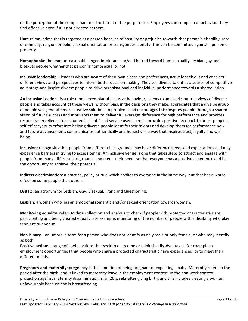on the perception of the complainant not the intent of the perpetrator. Employees can complain of behaviour they find offensive even if it is not directed at them.

**Hate crime:** crime that is targeted at a person because of hostility or prejudice towards that person's disability, race or ethnicity, religion or belief, sexual orientation or transgender identity. This can be committed against a person or property. 

**Homophobia**: the fear, unreasonable anger, intolerance or/and hatred toward homosexuality, lesbian gay and bisexual people whether that person is homosexual or not.

**Inclusive leadership** – leaders who are aware of their own biases and preferences, actively seek out and consider different views and perspectives to inform better decision-making. They see diverse talent as a source of competitive advantage and inspire diverse people to drive organisational and individual performance towards a shared vision.

**An Inclusive Leader** – is a role model exemplar of inclusive behaviour; listens to and seeks out the views of diverse people and takes account of these views, without bias, in the decisions they make; appreciates that a diverse group of people will generate more creative solutions to problems and encourages this; inspires people through a shared vision of future success and motivates them to deliver it; leverages difference for high performance and provides responsive excellence to customers', clients' and service users' needs; provides positive feedback to boost people's self-efficacy; puts effort into helping diverse people identify their talents and develop them for performance now and future advancement; communicates authentically and honestly in a way that inspires trust, loyalty and wellbeing.

**Inclusion:** recognising that people from different backgrounds may have difference needs and expectations and may experience barriers in trying to access tennis. An inclusive venue is one that takes steps to attract and engage with people from many different backgrounds and meet their needs so that everyone has a positive experience and has the opportunity to achieve their potential.

**Indirect discrimination:** a practice, policy or rule which applies to everyone in the same way, but that has a worse effect on some people than others.

LGBTQ: an acronym for Lesbian, Gay, Bisexual, Trans and Questioning.

Lesbian: a woman who has an emotional romantic and /or sexual orientation towards women.

**Monitoring equality**: refers to data collection and analysis to check if people with protected characteristics are participating and being treated equally. For example: monitoring of the number of people with a disability who play tennis at our venue.

**Non-binary** – an umbrella term for a person who does not identify as only male or only female, or who may identify as both.

**Positive action:** a range of lawful actions that seek to overcome or minimise disadvantages (for example in employment opportunities) that people who share a protected characteristic have experienced, or to meet their different needs.

**Pregnancy and maternity**: pregnancy is the condition of being pregnant or expecting a baby. Maternity refers to the period after the birth, and is linked to maternity leave in the employment context. In the non-work context, protection against maternity discrimination is for 26 weeks after giving birth, and this includes treating a woman unfavourably because she is breastfeeding.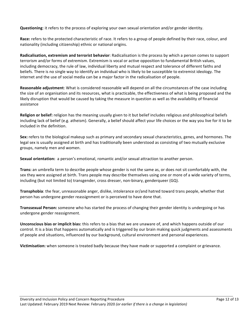**Questioning**: it refers to the process of exploring your own sexual orientation and/or gender identity.

Race: refers to the protected characteristic of race. It refers to a group of people defined by their race, colour, and nationality (including citizenship) ethnic or national origins.

**Radicalisation, extremism and terrorist behavior**: Radicalisation is the process by which a person comes to support terrorism and/or forms of extremism. Extremism is vocal or active opposition to fundamental British values, including democracy, the rule of law, individual liberty and mutual respect and tolerance of different faiths and beliefs. There is no single way to identify an individual who is likely to be susceptible to extremist ideology. The internet and the use of social media can be a major factor in the radicalisation of people.

**Reasonable adjustment**: What is considered reasonable will depend on all the circumstances of the case including the size of an organisation and its resources, what is practicable, the effectiveness of what is being proposed and the likely disruption that would be caused by taking the measure in question as well as the availability of financial assistance

**Religion or belief:** religion has the meaning usually given to it but belief includes religious and philosophical beliefs including lack of belief (e.g. atheism). Generally, a belief should affect your life choices or the way you live for it to be included in the definition.

**Sex:** refers to the biological makeup such as primary and secondary sexual characteristics, genes, and hormones. The legal sex is usually assigned at birth and has traditionally been understood as consisting of two mutually exclusive groups, namely men and women.

**Sexual orientation:** a person's emotional, romantic and/or sexual attraction to another person.

**Trans:** an umbrella term to describe people whose gender is not the same as, or does not sit comfortably with, the sex they were assigned at birth. Trans people may describe themselves using one or more of a wide variety of terms, including (but not limited to) transgender, cross dresser, non-binary, genderqueer (GQ).

**Transphobia**: the fear, unreasonable anger, dislike, intolerance or/and hatred toward trans people, whether that person has undergone gender reassignment or is perceived to have done that.

**Transsexual Person:** someone who has started the process of changing their gender identity is undergoing or has undergone gender reassignment.

**Unconscious bias or implicit bias:** this refers to a bias that we are unaware of, and which happens outside of our control. It is a bias that happens automatically and is triggered by our brain making quick judgments and assessments of people and situations, influenced by our background, cultural environment and personal experiences.

**Victimisation:** when someone is treated badly because they have made or supported a complaint or grievance.